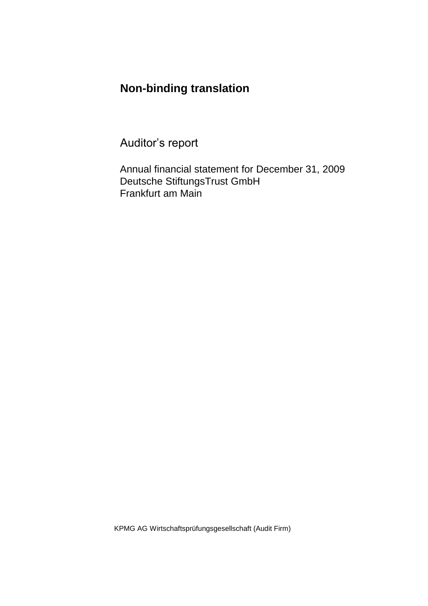### **Non-binding translation**

Auditor's report

Annual financial statement for December 31, 2009 Deutsche StiftungsTrust GmbH Frankfurt am Main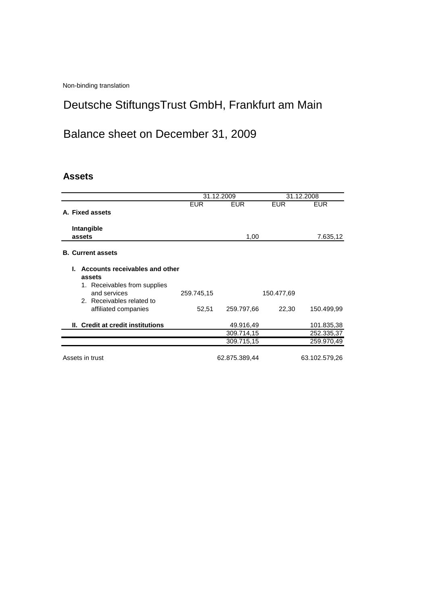Non-binding translation

## Deutsche StiftungsTrust GmbH, Frankfurt am Main

# Balance sheet on December 31, 2009

#### **Assets**

|                                      |            | 31.12.2009    |            | 31.12.2008    |
|--------------------------------------|------------|---------------|------------|---------------|
|                                      | <b>EUR</b> | <b>EUR</b>    | <b>EUR</b> | <b>EUR</b>    |
| A. Fixed assets                      |            |               |            |               |
| Intangible                           |            |               |            |               |
| assets                               |            | 1,00          |            | 7.635,12      |
|                                      |            |               |            |               |
| <b>B. Current assets</b>             |            |               |            |               |
| Accounts receivables and other<br>L. |            |               |            |               |
| assets                               |            |               |            |               |
| 1. Receivables from supplies         |            |               |            |               |
| and services                         | 259.745,15 |               | 150.477,69 |               |
| 2. Receivables related to            |            |               |            |               |
| affiliated companies                 | 52,51      | 259.797,66    | 22,30      | 150.499,99    |
| II. Credit at credit institutions    |            | 49.916,49     |            | 101.835,38    |
|                                      |            | 309.714,15    |            | 252.335,37    |
|                                      |            | 309.715,15    |            | 259.970,49    |
|                                      |            |               |            |               |
| Assets in trust                      |            | 62.875.389,44 |            | 63.102.579,26 |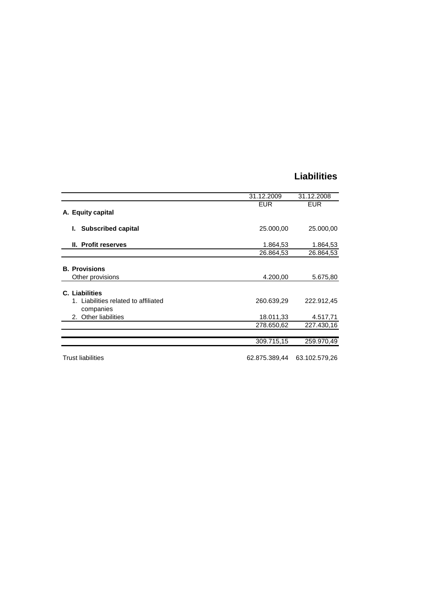### **Liabilities**

|                                                   | 31.12.2009 | 31.12.2008 |
|---------------------------------------------------|------------|------------|
|                                                   | <b>EUR</b> | <b>EUR</b> |
| A. Equity capital                                 |            |            |
| <b>Subscribed capital</b><br>L.                   | 25.000,00  | 25.000,00  |
| II. Profit reserves                               | 1.864,53   | 1.864,53   |
|                                                   | 26.864,53  | 26.864,53  |
| <b>B.</b> Provisions                              |            |            |
| Other provisions                                  | 4.200,00   | 5.675,80   |
| C. Liabilities                                    |            |            |
| 1. Liabilities related to affiliated<br>companies | 260.639,29 | 222.912,45 |
| 2. Other liabilities                              | 18.011,33  | 4.517,71   |
|                                                   | 278.650,62 | 227.430,16 |
|                                                   | 309.715,15 | 259.970,49 |
|                                                   |            |            |

Trust liabilities 62.875.389,44 63.102.579,26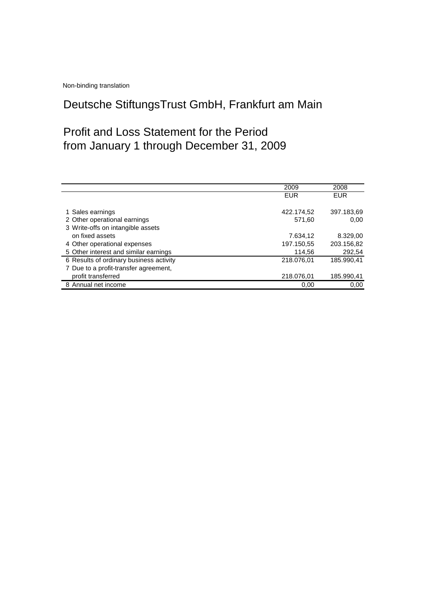Non-binding translation

## Deutsche StiftungsTrust GmbH, Frankfurt am Main

### Profit and Loss Statement for the Period from January 1 through December 31, 2009

|                                         | 2009       | 2008       |
|-----------------------------------------|------------|------------|
|                                         | <b>EUR</b> | EUR        |
|                                         |            |            |
| 1 Sales earnings                        | 422.174,52 | 397.183,69 |
| 2 Other operational earnings            | 571,60     | 0.00       |
| 3 Write-offs on intangible assets       |            |            |
| on fixed assets                         | 7.634,12   | 8.329,00   |
| 4 Other operational expenses            | 197.150,55 | 203.156,82 |
| 5 Other interest and similar earnings   | 114,56     | 292,54     |
| 6 Results of ordinary business activity | 218.076,01 | 185.990,41 |
| 7 Due to a profit-transfer agreement,   |            |            |
| profit transferred                      | 218.076,01 | 185.990,41 |
| 8 Annual net income                     | 0.00       | 0.00       |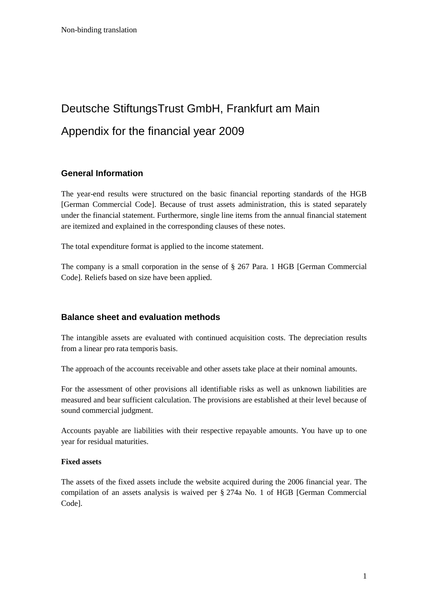# Deutsche StiftungsTrust GmbH, Frankfurt am Main Appendix for the financial year 2009

#### **General Information**

The year-end results were structured on the basic financial reporting standards of the HGB [German Commercial Code]. Because of trust assets administration, this is stated separately under the financial statement. Furthermore, single line items from the annual financial statement are itemized and explained in the corresponding clauses of these notes.

The total expenditure format is applied to the income statement.

The company is a small corporation in the sense of § 267 Para. 1 HGB [German Commercial Code]. Reliefs based on size have been applied.

#### **Balance sheet and evaluation methods**

The intangible assets are evaluated with continued acquisition costs. The depreciation results from a linear pro rata temporis basis.

The approach of the accounts receivable and other assets take place at their nominal amounts.

For the assessment of other provisions all identifiable risks as well as unknown liabilities are measured and bear sufficient calculation. The provisions are established at their level because of sound commercial judgment.

Accounts payable are liabilities with their respective repayable amounts. You have up to one year for residual maturities.

#### **Fixed assets**

The assets of the fixed assets include the website acquired during the 2006 financial year. The compilation of an assets analysis is waived per § 274a No. 1 of HGB [German Commercial Code].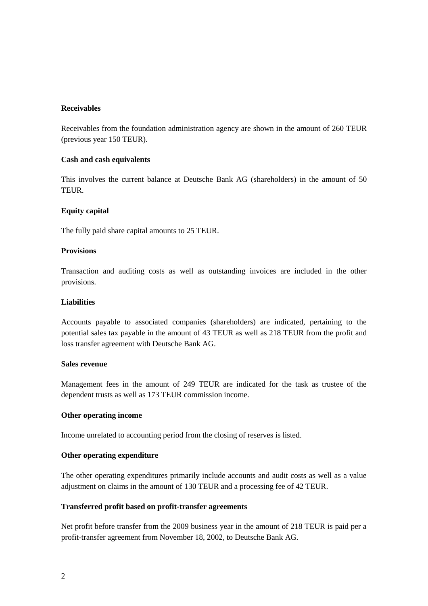#### **Receivables**

Receivables from the foundation administration agency are shown in the amount of 260 TEUR (previous year 150 TEUR).

#### **Cash and cash equivalents**

This involves the current balance at Deutsche Bank AG (shareholders) in the amount of 50 TEUR.

#### **Equity capital**

The fully paid share capital amounts to 25 TEUR.

#### **Provisions**

Transaction and auditing costs as well as outstanding invoices are included in the other provisions.

#### **Liabilities**

Accounts payable to associated companies (shareholders) are indicated, pertaining to the potential sales tax payable in the amount of 43 TEUR as well as 218 TEUR from the profit and loss transfer agreement with Deutsche Bank AG.

#### **Sales revenue**

Management fees in the amount of 249 TEUR are indicated for the task as trustee of the dependent trusts as well as 173 TEUR commission income.

#### **Other operating income**

Income unrelated to accounting period from the closing of reserves is listed.

#### **Other operating expenditure**

The other operating expenditures primarily include accounts and audit costs as well as a value adjustment on claims in the amount of 130 TEUR and a processing fee of 42 TEUR.

#### **Transferred profit based on profit-transfer agreements**

Net profit before transfer from the 2009 business year in the amount of 218 TEUR is paid per a profit-transfer agreement from November 18, 2002, to Deutsche Bank AG.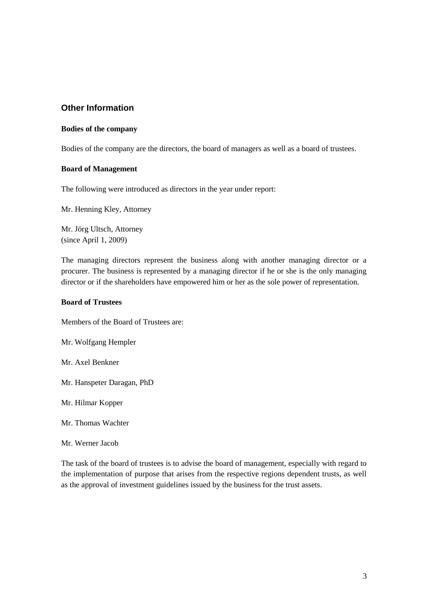#### **Other Information**

#### **Bodies of the company**

Bodies of the company are the directors, the board of managers as well as a board of trustees.

#### **Board of Management**

The following were introduced as directors in the year under report:

Mr. Henning Kley, Attorney

Mr. Jörg Ultsch, Attorney (since April 1, 2009)

The managing directors represent the business along with another managing director or a procurer. The business is represented by a managing director if he or she is the only managing director or if the shareholders have empowered him or her as the sole power of representation.

#### **Board of Trustees**

Members of the Board of Trustees are:

Mr. Wolfgang Hempler

Mr. Axel Benkner

Mr. Hanspeter Daragan, PhD

Mr. Hilmar Kopper

Mr. Thomas Wachter

Mr. Werner Jacob

The task of the board of trustees is to advise the board of management, especially with regard to the implementation of purpose that arises from the respective regions dependent trusts, as well as the approval of investment guidelines issued by the business for the trust assets.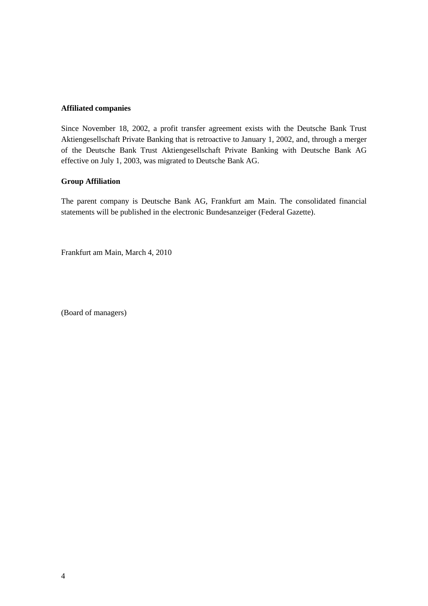#### **Affiliated companies**

Since November 18, 2002, a profit transfer agreement exists with the Deutsche Bank Trust Aktiengesellschaft Private Banking that is retroactive to January 1, 2002, and, through a merger of the Deutsche Bank Trust Aktiengesellschaft Private Banking with Deutsche Bank AG effective on July 1, 2003, was migrated to Deutsche Bank AG.

#### **Group Affiliation**

The parent company is Deutsche Bank AG, Frankfurt am Main. The consolidated financial statements will be published in the electronic Bundesanzeiger (Federal Gazette).

Frankfurt am Main, March 4, 2010

(Board of managers)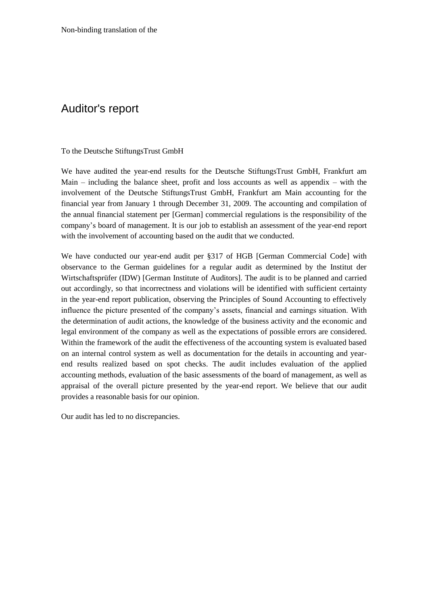### Auditor's report

#### To the Deutsche StiftungsTrust GmbH

We have audited the year-end results for the Deutsche StiftungsTrust GmbH, Frankfurt am Main – including the balance sheet, profit and loss accounts as well as appendix – with the involvement of the Deutsche StiftungsTrust GmbH, Frankfurt am Main accounting for the financial year from January 1 through December 31, 2009. The accounting and compilation of the annual financial statement per [German] commercial regulations is the responsibility of the company's board of management. It is our job to establish an assessment of the year-end report with the involvement of accounting based on the audit that we conducted.

We have conducted our year-end audit per §317 of HGB [German Commercial Code] with observance to the German guidelines for a regular audit as determined by the Institut der Wirtschaftsprüfer (IDW) [German Institute of Auditors]. The audit is to be planned and carried out accordingly, so that incorrectness and violations will be identified with sufficient certainty in the year-end report publication, observing the Principles of Sound Accounting to effectively influence the picture presented of the company's assets, financial and earnings situation. With the determination of audit actions, the knowledge of the business activity and the economic and legal environment of the company as well as the expectations of possible errors are considered. Within the framework of the audit the effectiveness of the accounting system is evaluated based on an internal control system as well as documentation for the details in accounting and yearend results realized based on spot checks. The audit includes evaluation of the applied accounting methods, evaluation of the basic assessments of the board of management, as well as appraisal of the overall picture presented by the year-end report. We believe that our audit provides a reasonable basis for our opinion.

Our audit has led to no discrepancies.